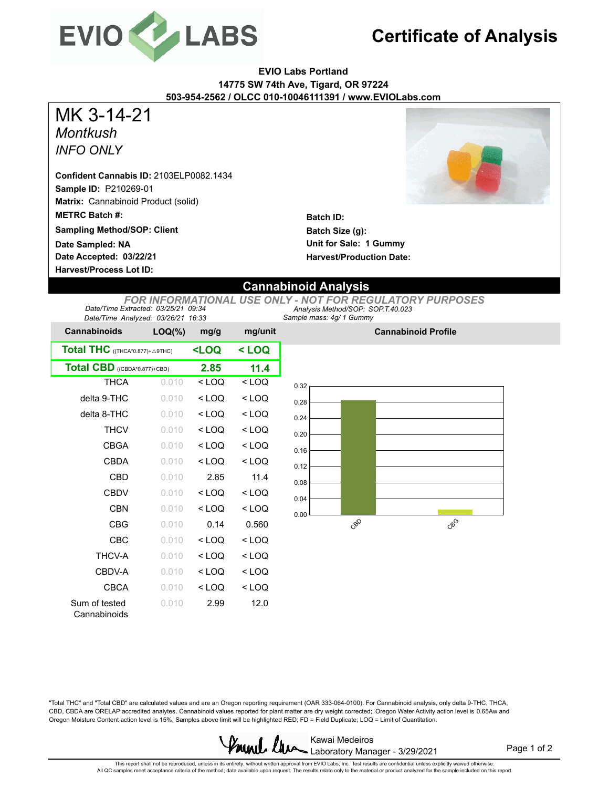

## **Certificate of Analysis**

**EVIO Labs Portland 14775 SW 74th Ave, Tigard, OR 97224 503-954-2562 / OLCC 010-10046111391 / www.EVIOLabs.com**

*Montkush INFO ONLY* MK 3-14-21

**Sample ID:** P210269-01 **Matrix:** Cannabinoid Product (solid) **METRC Batch #: Sampling Method/SOP: Client Confident Cannabis ID:** 2103ELP0082.1434

**Date Accepted: 03/22/21 Harvest/Process Lot ID: Date Sampled: NA**



**Batch ID: Batch Size (g): Unit for Sale: 1 Gummy Harvest/Production Date:** 

## **Cannabinoid Analysis**

*Sample mass: 4g/ 1 Gummy Analysis Method/SOP: SOP.T.40.023 FOR INFORMATIONAL USE ONLY - NOT FOR REGULATORY PURPOSES Date/Time Extracted: 03/25/21 09:34 Date/Time Analyzed: 03/26/21 16:33*

| <b>Cannabinoids</b>             | $LOQ(\%)$ | mg/g                                                          | mg/unit |  |
|---------------------------------|-----------|---------------------------------------------------------------|---------|--|
| Total THC ((THCA*0.877)+ A9THC) |           | <loq< th=""><th colspan="2"><math>&lt;</math> LOQ</th></loq<> | $<$ LOQ |  |
| Total CBD ((CBDA*0.877)+CBD)    | 2.85      | 11.4                                                          |         |  |
| <b>THCA</b>                     | 0.010     | $<$ LOQ                                                       | $<$ LOQ |  |
| delta 9-THC                     | 0.010     | $<$ LOQ                                                       | $<$ LOQ |  |
| delta 8-THC                     | 0.010     | $<$ LOQ                                                       | $<$ LOQ |  |
| <b>THCV</b>                     | 0.010     | $<$ LOQ                                                       | $<$ LOQ |  |
| CBGA                            | 0.010     | $<$ LOQ                                                       | $<$ LOQ |  |
| CBDA                            | 0.010     | $<$ LOQ                                                       | $<$ LOQ |  |
| CBD                             | 0.010     | 2.85                                                          | 11.4    |  |
| CBDV                            | 0.010     | $<$ LOQ                                                       | $<$ LOQ |  |
| CBN                             | 0.010     | $<$ LOQ                                                       | < LOQ   |  |
| CBG                             | 0.010     | 0.14                                                          | 0.560   |  |
| CBC                             | 0.010     | $<$ LOQ                                                       | $<$ LOQ |  |
| <b>THCV-A</b>                   | 0.010     | $<$ LOQ                                                       | $<$ LOQ |  |
| CBDV-A                          | 0.010     | $<$ LOQ                                                       | $<$ LOQ |  |
| CBCA                            | 0.010     | $<$ LOQ                                                       | $<$ LOQ |  |
| Sum of tested<br>Cannabinoids   | 0.010     | 2.99                                                          | 12.0    |  |



**Cannabinoid Profile**

"Total THC" and "Total CBD" are calculated values and are an Oregon reporting requirement (OAR 333-064-0100). For Cannabinoid analysis, only delta 9-THC, THCA, CBD, CBDA are ORELAP accredited analytes. Cannabinoid values reported for plant matter are dry weight corrected; Oregon Water Activity action level is 0.65Aw and Oregon Moisture Content action level is 15%, Samples above limit will be highlighted RED; FD = Field Duplicate; LOQ = Limit of Quantitation.



Page 1 of 2

This repot shall not be reproduced, unless in its entirety, without written approval from EVIO Labs, Inc. Test results are confidential unless explicitly waived otherwise.<br>All QC samples meet acceptance criteria of the met